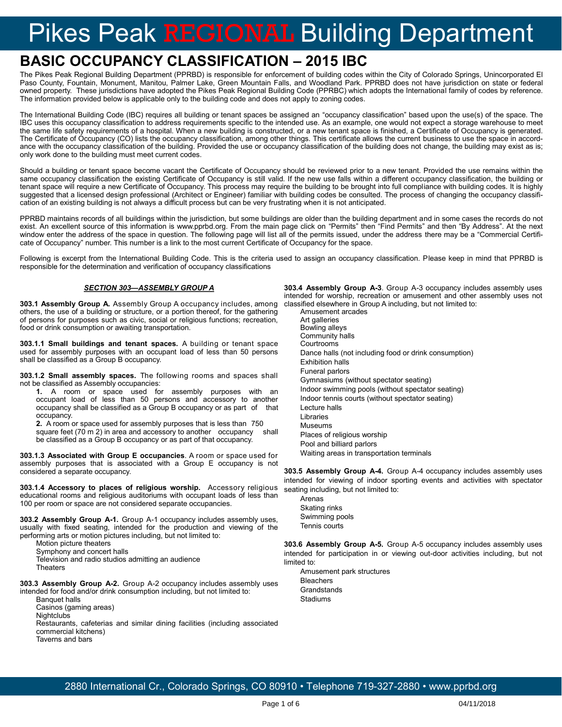# Pikes Peak REGIONAL Building Department

# **BASIC OCCUPANCY CLASSIFICATION – 2015 IBC**

The Pikes Peak Regional Building Department (PPRBD) is responsible for enforcement of building codes within the City of Colorado Springs, Unincorporated El Paso County, Fountain, Monument, Manitou, Palmer Lake, Green Mountain Falls, and Woodland Park. PPRBD does not have jurisdiction on state or federal owned property. These jurisdictions have adopted the Pikes Peak Regional Building Code (PPRBC) which adopts the International family of codes by reference. The information provided below is applicable only to the building code and does not apply to zoning codes.

The International Building Code (IBC) requires all building or tenant spaces be assigned an "occupancy classification" based upon the use(s) of the space. The IBC uses this occupancy classification to address requirements specific to the intended use. As an example, one would not expect a storage warehouse to meet the same life safety requirements of a hospital. When a new building is constructed, or a new tenant space is finished, a Certificate of Occupancy is generated. The Certificate of Occupancy (CO) lists the occupancy classification, among other things. This certificate allows the current business to use the space in accordance with the occupancy classification of the building. Provided the use or occupancy classification of the building does not change, the building may exist as is; only work done to the building must meet current codes.

Should a building or tenant space become vacant the Certificate of Occupancy should be reviewed prior to a new tenant. Provided the use remains within the same occupancy classification the existing Certificate of Occupancy is still valid. If the new use falls within a different occupancy classification, the building or tenant space will require a new Certificate of Occupancy. This process may require the building to be brought into full compliance with building codes. It is highly suggested that a licensed design professional (Architect or Engineer) familiar with building codes be consulted. The process of changing the occupancy classification of an existing building is not always a difficult process but can be very frustrating when it is not anticipated.

PPRBD maintains records of all buildings within the jurisdiction, but some buildings are older than the building department and in some cases the records do not exist. An excellent source of this information is www.pprbd.org. From the main page click on "Permits" then "Find Permits" and then "By Address". At the next window enter the address of the space in question. The following page will list all of the permits issued, under the address there may be a "Commercial Certificate of Occupancy" number. This number is a link to the most current Certificate of Occupancy for the space.

Following is excerpt from the International Building Code. This is the criteria used to assign an occupancy classification. Please keep in mind that PPRBD is responsible for the determination and verification of occupancy classifications

# *SECTION 303—ASSEMBLY GROUP A*

**303.1 Assembly Group A.** Assembly Group A occupancy includes, among others, the use of a building or structure, or a portion thereof, for the gathering of persons for purposes such as civic, social or religious functions; recreation, food or drink consumption or awaiting transportation.

**303.1.1 Small buildings and tenant spaces.** A building or tenant space used for assembly purposes with an occupant load of less than 50 persons shall be classified as a Group B occupancy.

**303.1.2 Small assembly spaces.** The following rooms and spaces shall not be classified as Assembly occupancies:

**1.** A room or space used for assembly purposes with an occupant load of less than 50 persons and accessory to another occupancy shall be classified as a Group B occupancy or as part of that occupancy.

**2.** A room or space used for assembly purposes that is less than 750 square feet (70 m 2) in area and accessory to another occupancy shall be classified as a Group B occupancy or as part of that occupancy.

**303.1.3 Associated with Group E occupancies**. A room or space used for assembly purposes that is associated with a Group E occupancy is not considered a separate occupancy.

**303.1.4 Accessory to places of religious worship.** Accessory religious educational rooms and religious auditoriums with occupant loads of less than 100 per room or space are not considered separate occupancies.

**303.2 Assembly Group A-1.** Group A-1 occupancy includes assembly uses, usually with fixed seating, intended for the production and viewing of the performing arts or motion pictures including, but not limited to:

Motion picture theaters

Symphony and concert halls

Television and radio studios admitting an audience **Theaters** 

**303.3 Assembly Group A-2.** Group A-2 occupancy includes assembly uses intended for food and/or drink consumption including, but not limited to:

Banquet halls Casinos (gaming areas) **Nightclubs** Restaurants, cafeterias and similar dining facilities (including associated commercial kitchens) Taverns and bars

**303.4 Assembly Group A-3**. Group A-3 occupancy includes assembly uses intended for worship, recreation or amusement and other assembly uses not classified elsewhere in Group A including, but not limited to:

Amusement arcades Art galleries Bowling alleys Community halls Courtrooms Dance halls (not including food or drink consumption) Exhibition halls Funeral parlors Gymnasiums (without spectator seating) Indoor swimming pools (without spectator seating) Indoor tennis courts (without spectator seating) Lecture halls Libraries Museums Places of religious worship Pool and billiard parlors Waiting areas in transportation terminals

**303.5 Assembly Group A-4.** Group A-4 occupancy includes assembly uses intended for viewing of indoor sporting events and activities with spectator seating including, but not limited to:

Arenas Skating rinks Swimming pools Tennis courts

**303.6 Assembly Group A-5.** Group A-5 occupancy includes assembly uses intended for participation in or viewing out-door activities including, but not limited to:

Amusement park structures **Bleachers Grandstands** Stadiums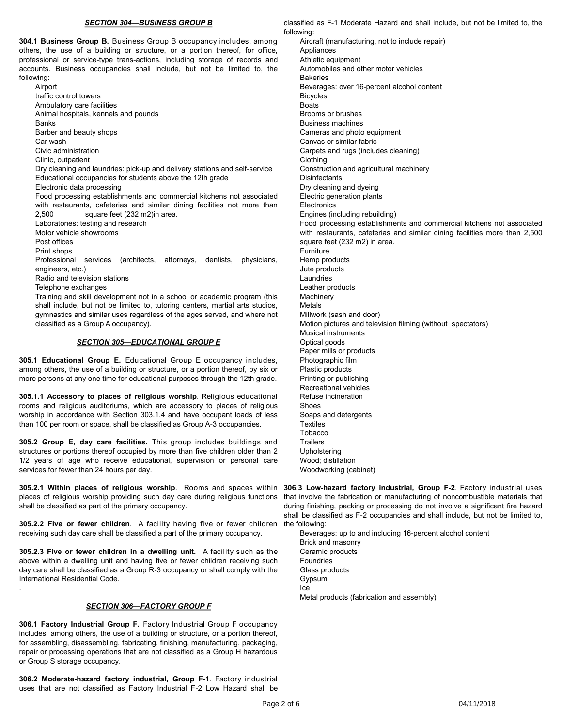#### *SECTION 304—BUSINESS GROUP B*

**304.1 Business Group B.** Business Group B occupancy includes, among others, the use of a building or structure, or a portion thereof, for office, professional or service-type trans-actions, including storage of records and accounts. Business occupancies shall include, but not be limited to, the following:

Airport traffic control towers Ambulatory care facilities Animal hospitals, kennels and pounds Banks Barber and beauty shops Car wash Civic administration Clinic, outpatient Dry cleaning and laundries: pick-up and delivery stations and self-service Educational occupancies for students above the 12th grade Electronic data processing Food processing establishments and commercial kitchens not associated with restaurants, cafeterias and similar dining facilities not more than 2,500 square feet (232 m2)in area. Laboratories: testing and research Motor vehicle showrooms Post offices Print shops Professional services (architects, attorneys, dentists, physicians, engineers, etc.) Radio and television stations Telephone exchanges Training and skill development not in a school or academic program (this shall include, but not be limited to, tutoring centers, martial arts studios, gymnastics and similar uses regardless of the ages served, and where not

# classified as a Group A occupancy).

# *SECTION 305—EDUCATIONAL GROUP E*

**305.1 Educational Group E.** Educational Group E occupancy includes, among others, the use of a building or structure, or a portion thereof, by six or more persons at any one time for educational purposes through the 12th grade.

**305.1.1 Accessory to places of religious worship**. Religious educational rooms and religious auditoriums, which are accessory to places of religious worship in accordance with Section 303.1.4 and have occupant loads of less than 100 per room or space, shall be classified as Group A-3 occupancies.

**305.2 Group E, day care facilities.** This group includes buildings and structures or portions thereof occupied by more than five children older than 2 1/2 years of age who receive educational, supervision or personal care services for fewer than 24 hours per day.

**305.2.1 Within places of religious worship**. Rooms and spaces within places of religious worship providing such day care during religious functions shall be classified as part of the primary occupancy.

**305.2.2 Five or fewer children**. A facility having five or fewer children receiving such day care shall be classified a part of the primary occupancy.

**305.2.3 Five or fewer children in a dwelling unit.** A facility such as the above within a dwelling unit and having five or fewer children receiving such day care shall be classified as a Group R-3 occupancy or shall comply with the International Residential Code.

## *SECTION 306—FACTORY GROUP F*

.

**306.1 Factory Industrial Group F.** Factory Industrial Group F occupancy includes, among others, the use of a building or structure, or a portion thereof, for assembling, disassembling, fabricating, finishing, manufacturing, packaging, repair or processing operations that are not classified as a Group H hazardous or Group S storage occupancy.

**306.2 Moderate-hazard factory industrial, Group F-1**. Factory industrial uses that are not classified as Factory Industrial F-2 Low Hazard shall be

classified as F-1 Moderate Hazard and shall include, but not be limited to, the following:

Aircraft (manufacturing, not to include repair) Appliances Athletic equipment Automobiles and other motor vehicles Bakeries Beverages: over 16-percent alcohol content Bicycles Boats Brooms or brushes Business machines Cameras and photo equipment Canvas or similar fabric Carpets and rugs (includes cleaning) Clothing Construction and agricultural machinery **Disinfectants** Dry cleaning and dyeing Electric generation plants **Electronics** Engines (including rebuilding) Food processing establishments and commercial kitchens not associated with restaurants, cafeterias and similar dining facilities more than 2,500 square feet (232 m2) in area. Furniture Hemp products Jute products Laundries Leather products **Machinery** Metals Millwork (sash and door) Motion pictures and television filming (without spectators) Musical instruments Optical goods Paper mills or products Photographic film Plastic products Printing or publishing Recreational vehicles Refuse incineration Shoes Soaps and detergents **Textiles** Tobacco **Trailers** Upholstering Wood; distillation Woodworking (cabinet)

**306.3 Low-hazard factory industrial, Group F-2**. Factory industrial uses that involve the fabrication or manufacturing of noncombustible materials that during finishing, packing or processing do not involve a significant fire hazard shall be classified as F-2 occupancies and shall include, but not be limited to, the following:

Beverages: up to and including 16-percent alcohol content Brick and masonry Ceramic products Foundries Glass products Gypsum Ice Metal products (fabrication and assembly)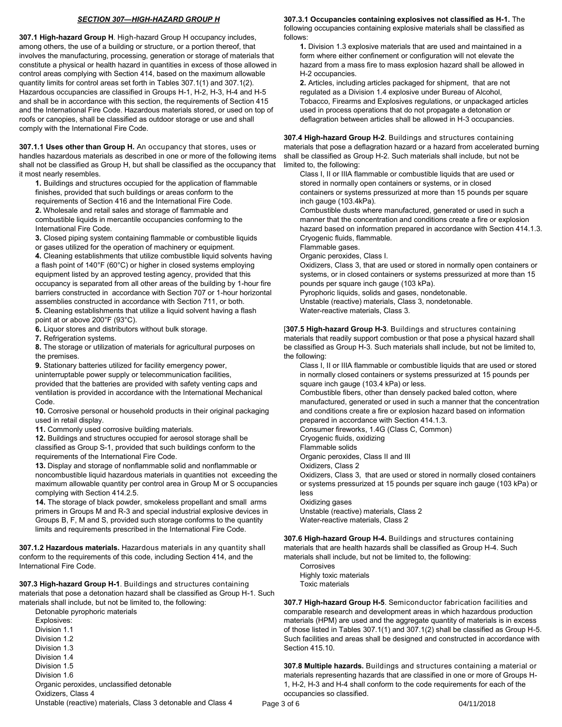# *SECTION 307—HIGH-HAZARD GROUP H*

**307.1 High-hazard Group H**. High-hazard Group H occupancy includes, among others, the use of a building or structure, or a portion thereof, that involves the manufacturing, processing, generation or storage of materials that constitute a physical or health hazard in quantities in excess of those allowed in control areas complying with Section 414, based on the maximum allowable quantity limits for control areas set forth in Tables 307.1(1) and 307.1(2). Hazardous occupancies are classified in Groups H-1, H-2, H-3, H-4 and H-5 and shall be in accordance with this section, the requirements of Section 415 and the International Fire Code. Hazardous materials stored, or used on top of roofs or canopies, shall be classified as outdoor storage or use and shall comply with the International Fire Code.

**307.1.1 Uses other than Group H.** An occupancy that stores, uses or handles hazardous materials as described in one or more of the following items shall not be classified as Group H, but shall be classified as the occupancy that it most nearly resembles.

**1.** Buildings and structures occupied for the application of flammable finishes, provided that such buildings or areas conform to the requirements of Section 416 and the International Fire Code. **2.** Wholesale and retail sales and storage of flammable and combustible liquids in mercantile occupancies conforming to the International Fire Code.

**3.** Closed piping system containing flammable or combustible liquids

or gases utilized for the operation of machinery or equipment.

**4.** Cleaning establishments that utilize combustible liquid solvents having a flash point of 140°F (60°C) or higher in closed systems employing equipment listed by an approved testing agency, provided that this occupancy is separated from all other areas of the building by 1-hour fire barriers constructed in accordance with Section 707 or 1-hour horizontal assemblies constructed in accordance with Section 711, or both.

**5.** Cleaning establishments that utilize a liquid solvent having a flash point at or above 200°F (93°C).

**6.** Liquor stores and distributors without bulk storage.

**7.** Refrigeration systems.

**8.** The storage or utilization of materials for agricultural purposes on the premises.

**9.** Stationary batteries utilized for facility emergency power,

uninterruptable power supply or telecommunication facilities, provided that the batteries are provided with safety venting caps and ventilation is provided in accordance with the International Mechanical Code.

**10.** Corrosive personal or household products in their original packaging used in retail display.

**11.** Commonly used corrosive building materials.

**12.** Buildings and structures occupied for aerosol storage shall be classified as Group S-1, provided that such buildings conform to the requirements of the International Fire Code.

**13.** Display and storage of nonflammable solid and nonflammable or noncombustible liquid hazardous materials in quantities not exceeding the maximum allowable quantity per control area in Group M or S occupancies complying with Section 414.2.5.

**14.** The storage of black powder, smokeless propellant and small arms primers in Groups M and R-3 and special industrial explosive devices in Groups B, F, M and S, provided such storage conforms to the quantity limits and requirements prescribed in the International Fire Code.

**307.1.2 Hazardous materials.** Hazardous materials in any quantity shall conform to the requirements of this code, including Section 414, and the International Fire Code.

**307.3 High-hazard Group H-1**. Buildings and structures containing materials that pose a detonation hazard shall be classified as Group H-1. Such materials shall include, but not be limited to, the following:

Detonable pyrophoric materials Explosives: Division 1.1 Division 1.2 Division 1.3 Division 1.4 Division 1.5 Division 1.6 Organic peroxides, unclassified detonable Oxidizers, Class 4 Unstable (reactive) materials, Class 3 detonable and Class 4

#### **307.3.1 Occupancies containing explosives not classified as H-1.** The following occupancies containing explosive materials shall be classified as follows:

**1.** Division 1.3 explosive materials that are used and maintained in a form where either confinement or configuration will not elevate the hazard from a mass fire to mass explosion hazard shall be allowed in H-2 occupancies.

**2.** Articles, including articles packaged for shipment, that are not regulated as a Division 1.4 explosive under Bureau of Alcohol, Tobacco, Firearms and Explosives regulations, or unpackaged articles used in process operations that do not propagate a detonation or deflagration between articles shall be allowed in H-3 occupancies.

**307.4 High-hazard Group H-2**. Buildings and structures containing materials that pose a deflagration hazard or a hazard from accelerated burning shall be classified as Group H-2. Such materials shall include, but not be limited to, the following:

Class I, II or IIIA flammable or combustible liquids that are used or stored in normally open containers or systems, or in closed containers or systems pressurized at more than 15 pounds per square inch gauge (103.4kPa).

Combustible dusts where manufactured, generated or used in such a manner that the concentration and conditions create a fire or explosion hazard based on information prepared in accordance with Section 414.1.3. Cryogenic fluids, flammable.

Flammable gases.

Organic peroxides, Class I.

Oxidizers, Class 3, that are used or stored in normally open containers or systems, or in closed containers or systems pressurized at more than 15 pounds per square inch gauge (103 kPa).

Pyrophoric liquids, solids and gases, nondetonable.

Unstable (reactive) materials, Class 3, nondetonable.

Water-reactive materials, Class 3.

[**307.5 High-hazard Group H-3**. Buildings and structures containing materials that readily support combustion or that pose a physical hazard shall be classified as Group H-3. Such materials shall include, but not be limited to, the following:

Class I, II or IIIA flammable or combustible liquids that are used or stored in normally closed containers or systems pressurized at 15 pounds per square inch gauge (103.4 kPa) or less.

Combustible fibers, other than densely packed baled cotton, where manufactured, generated or used in such a manner that the concentration and conditions create a fire or explosion hazard based on information prepared in accordance with Section 414.1.3.

Consumer fireworks, 1.4G (Class C, Common)

Cryogenic fluids, oxidizing

Flammable solids

Organic peroxides, Class II and III

Oxidizers, Class 2

Oxidizers, Class 3, that are used or stored in normally closed containers or systems pressurized at 15 pounds per square inch gauge (103 kPa) or less

Oxidizing gases Unstable (reactive) materials, Class 2 Water-reactive materials, Class 2

**307.6 High-hazard Group H-4.** Buildings and structures containing materials that are health hazards shall be classified as Group H-4. Such materials shall include, but not be limited to, the following:

Corrosives Highly toxic materials Toxic materials

**307.7 High-hazard Group H-5**. Semiconductor fabrication facilities and comparable research and development areas in which hazardous production materials (HPM) are used and the aggregate quantity of materials is in excess of those listed in Tables 307.1(1) and 307.1(2) shall be classified as Group H-5. Such facilities and areas shall be designed and constructed in accordance with Section 415.10.

**307.8 Multiple hazards.** Buildings and structures containing a material or materials representing hazards that are classified in one or more of Groups H-1, H-2, H-3 and H-4 shall conform to the code requirements for each of the occupancies so classified.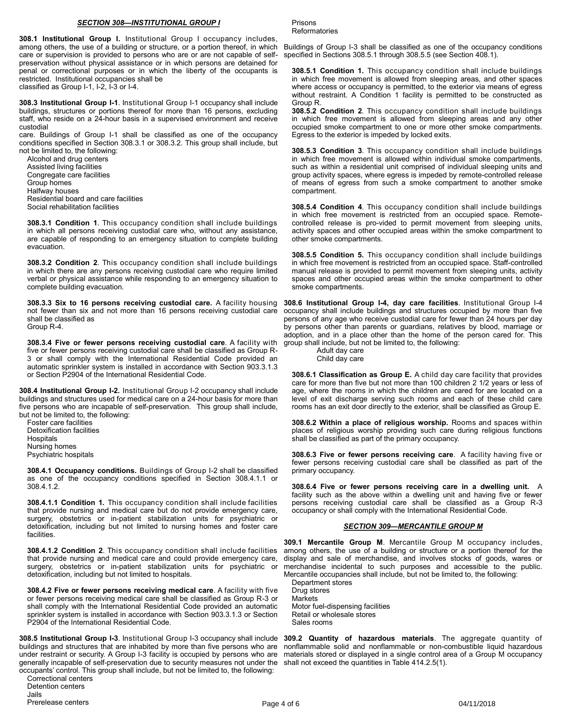#### *SECTION 308—INSTITUTIONAL GROUP I*

**308.1 Institutional Group I.** Institutional Group I occupancy includes, among others, the use of a building or structure, or a portion thereof, in which care or supervision is provided to persons who are or are not capable of selfpreservation without physical assistance or in which persons are detained for penal or correctional purposes or in which the liberty of the occupants is restricted. Institutional occupancies shall be classified as Group I-1, I-2, I-3 or I-4.

**308.3 Institutional Group I-1**. Institutional Group I-1 occupancy shall include buildings, structures or portions thereof for more than 16 persons, excluding staff, who reside on a 24-hour basis in a supervised environment and receive custodial

care. Buildings of Group I-1 shall be classified as one of the occupancy conditions specified in Section 308.3.1 or 308.3.2. This group shall include, but not be limited to, the following:

Alcohol and drug centers Assisted living facilities Congregate care facilities Group homes Halfway houses Residential board and care facilities Social rehabilitation facilities

**308.3.1 Condition 1**. This occupancy condition shall include buildings in which all persons receiving custodial care who, without any assistance, are capable of responding to an emergency situation to complete building evacuation.

**308.3.2 Condition 2**. This occupancy condition shall include buildings in which there are any persons receiving custodial care who require limited verbal or physical assistance while responding to an emergency situation to complete building evacuation.

**308.3.3 Six to 16 persons receiving custodial care.** A facility housing not fewer than six and not more than 16 persons receiving custodial care shall be classified as Group R-4.

**308.3.4 Five or fewer persons receiving custodial care**. A facility with five or fewer persons receiving custodial care shall be classified as Group R-3 or shall comply with the International Residential Code provided an automatic sprinkler system is installed in accordance with Section 903.3.1.3 or Section P2904 of the International Residential Code.

**308.4 Institutional Group I-2.** Institutional Group I-2 occupancy shall include buildings and structures used for medical care on a 24-hour basis for more than five persons who are incapable of self-preservation. This group shall include, but not be limited to, the following:

Foster care facilities Detoxification facilities **Hospitals** Nursing homes Psychiatric hospitals

**308.4.1 Occupancy conditions.** Buildings of Group I-2 shall be classified as one of the occupancy conditions specified in Section 308.4.1.1 or 308.4.1.2.

**308.4.1.1 Condition 1.** This occupancy condition shall include facilities that provide nursing and medical care but do not provide emergency care, surgery, obstetrics or in-patient stabilization units for psychiatric or detoxification, including but not limited to nursing homes and foster care facilities.

**308.4.1.2 Condition 2**. This occupancy condition shall include facilities that provide nursing and medical care and could provide emergency care, surgery, obstetrics or in-patient stabilization units for psychiatric or detoxification, including but not limited to hospitals.

**308.4.2 Five or fewer persons receiving medical care**. A facility with five or fewer persons receiving medical care shall be classified as Group R-3 or shall comply with the International Residential Code provided an automatic sprinkler system is installed in accordance with Section 903.3.1.3 or Section P2904 of the International Residential Code.

**308.5 Institutional Group I-3**. Institutional Group I-3 occupancy shall include buildings and structures that are inhabited by more than five persons who are under restraint or security. A Group I-3 facility is occupied by persons who are generally incapable of self-preservation due to security measures not under the occupants' control. This group shall include, but not be limited to, the following:

Prisons **Reformatories** 

Buildings of Group I-3 shall be classified as one of the occupancy conditions specified in Sections 308.5.1 through 308.5.5 (see Section 408.1).

**308.5.1 Condition 1.** This occupancy condition shall include buildings in which free movement is allowed from sleeping areas, and other spaces where access or occupancy is permitted, to the exterior via means of egress without restraint. A Condition 1 facility is permitted to be constructed as Group R.

**308.5.2 Condition 2**. This occupancy condition shall include buildings in which free movement is allowed from sleeping areas and any other occupied smoke compartment to one or more other smoke compartments. Egress to the exterior is impeded by locked exits.

**308.5.3 Condition 3**. This occupancy condition shall include buildings in which free movement is allowed within individual smoke compartments, such as within a residential unit comprised of individual sleeping units and group activity spaces, where egress is impeded by remote-controlled release of means of egress from such a smoke compartment to another smoke compartment.

**308.5.4 Condition 4**. This occupancy condition shall include buildings in which free movement is restricted from an occupied space. Remotecontrolled release is pro-vided to permit movement from sleeping units, activity spaces and other occupied areas within the smoke compartment to other smoke compartments.

**308.5.5 Condition 5.** This occupancy condition shall include buildings in which free movement is restricted from an occupied space. Staff-controlled manual release is provided to permit movement from sleeping units, activity spaces and other occupied areas within the smoke compartment to other smoke compartments.

**308.6 Institutional Group I-4, day care facilities**. Institutional Group I-4 occupancy shall include buildings and structures occupied by more than five persons of any age who receive custodial care for fewer than 24 hours per day by persons other than parents or guardians, relatives by blood, marriage or adoption, and in a place other than the home of the person cared for. This group shall include, but not be limited to, the following:

Adult day care Child day care

**308.6.1 Classification as Group E.** A child day care facility that provides care for more than five but not more than 100 children 2 1/2 years or less of age, where the rooms in which the children are cared for are located on a level of exit discharge serving such rooms and each of these child care rooms has an exit door directly to the exterior, shall be classified as Group E.

**308.6.2 Within a place of religious worship.** Rooms and spaces within places of religious worship providing such care during religious functions shall be classified as part of the primary occupancy.

**308.6.3 Five or fewer persons receiving care**. A facility having five or fewer persons receiving custodial care shall be classified as part of the primary occupancy.

**308.6.4 Five or fewer persons receiving care in a dwelling unit.** A facility such as the above within a dwelling unit and having five or fewer persons receiving custodial care shall be classified as a Group R-3 occupancy or shall comply with the International Residential Code.

## *SECTION 309—MERCANTILE GROUP M*

**309.1 Mercantile Group M**. Mercantile Group M occupancy includes, among others, the use of a building or structure or a portion thereof for the display and sale of merchandise, and involves stocks of goods, wares or merchandise incidental to such purposes and accessible to the public. Mercantile occupancies shall include, but not be limited to, the following:

Department stores Drug stores **Markets** Motor fuel-dispensing facilities Retail or wholesale stores Sales rooms

**309.2 Quantity of hazardous materials**. The aggregate quantity of nonflammable solid and nonflammable or non-combustible liquid hazardous materials stored or displayed in a single control area of a Group M occupancy shall not exceed the quantities in Table 414.2.5(1).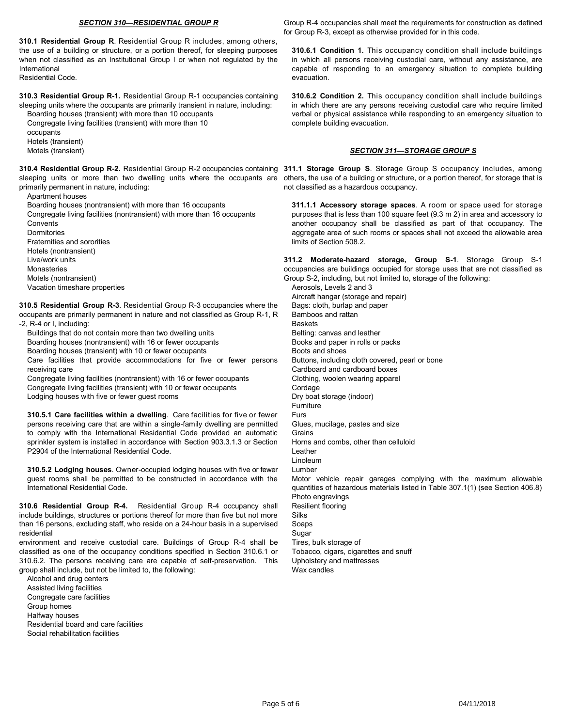#### *SECTION 310—RESIDENTIAL GROUP R*

**310.1 Residential Group R**. Residential Group R includes, among others, the use of a building or structure, or a portion thereof, for sleeping purposes when not classified as an Institutional Group I or when not regulated by the International

Residential Code.

**310.3 Residential Group R-1.** Residential Group R-1 occupancies containing sleeping units where the occupants are primarily transient in nature, including:

Boarding houses (transient) with more than 10 occupants Congregate living facilities (transient) with more than 10

occupants

Hotels (transient)

Motels (transient)

**310.4 Residential Group R-2.** Residential Group R-2 occupancies containing 311.1 Storage Group S. Storage Group S occupancy includes, among sleeping units or more than two dwelling units where the occupants are others, the use of a building or structure, or a portion thereof, for storage that is primarily permanent in nature, including:

Apartment houses

Boarding houses (nontransient) with more than 16 occupants

Congregate living facilities (nontransient) with more than 16 occupants **Convents** 

Dormitories

Fraternities and sororities

Hotels (nontransient)

Live/work units

Monasteries

Motels (nontransient)

Vacation timeshare properties

**310.5 Residential Group R-3**. Residential Group R-3 occupancies where the occupants are primarily permanent in nature and not classified as Group R-1, R

-2, R-4 or I, including:

Buildings that do not contain more than two dwelling units

Boarding houses (nontransient) with 16 or fewer occupants

Boarding houses (transient) with 10 or fewer occupants

Care facilities that provide accommodations for five or fewer persons receiving care

Congregate living facilities (nontransient) with 16 or fewer occupants Congregate living facilities (transient) with 10 or fewer occupants Lodging houses with five or fewer guest rooms

**310.5.1 Care facilities within a dwelling**. Care facilities for five or fewer persons receiving care that are within a single-family dwelling are permitted to comply with the International Residential Code provided an automatic sprinkler system is installed in accordance with Section 903.3.1.3 or Section P2904 of the International Residential Code.

**310.5.2 Lodging houses**. Owner-occupied lodging houses with five or fewer guest rooms shall be permitted to be constructed in accordance with the International Residential Code.

**310.6 Residential Group R-4.** Residential Group R-4 occupancy shall include buildings, structures or portions thereof for more than five but not more than 16 persons, excluding staff, who reside on a 24-hour basis in a supervised residential

environment and receive custodial care. Buildings of Group R-4 shall be classified as one of the occupancy conditions specified in Section 310.6.1 or 310.6.2. The persons receiving care are capable of self-preservation. This group shall include, but not be limited to, the following:

Alcohol and drug centers Assisted living facilities Congregate care facilities Group homes Halfway houses Residential board and care facilities Social rehabilitation facilities

Group R-4 occupancies shall meet the requirements for construction as defined for Group R-3, except as otherwise provided for in this code.

**310.6.1 Condition 1.** This occupancy condition shall include buildings in which all persons receiving custodial care, without any assistance, are capable of responding to an emergency situation to complete building evacuation.

**310.6.2 Condition 2.** This occupancy condition shall include buildings in which there are any persons receiving custodial care who require limited verbal or physical assistance while responding to an emergency situation to complete building evacuation.

# *SECTION 311—STORAGE GROUP S*

not classified as a hazardous occupancy.

**311.1.1 Accessory storage spaces**. A room or space used for storage purposes that is less than 100 square feet (9.3 m 2) in area and accessory to another occupancy shall be classified as part of that occupancy. The aggregate area of such rooms or spaces shall not exceed the allowable area limits of Section 508.2.

**311.2 Moderate-hazard storage, Group S-1**. Storage Group S-1 occupancies are buildings occupied for storage uses that are not classified as Group S-2, including, but not limited to, storage of the following:

Aerosols, Levels 2 and 3 Aircraft hangar (storage and repair) Bags: cloth, burlap and paper Bamboos and rattan **Baskets** Belting: canvas and leather Books and paper in rolls or packs Boots and shoes Buttons, including cloth covered, pearl or bone Cardboard and cardboard boxes Clothing, woolen wearing apparel Cordage Dry boat storage (indoor) **Furniture** Furs Glues, mucilage, pastes and size Grains Horns and combs, other than celluloid Leather Linoleum Lumber Motor vehicle repair garages complying with the maximum allowable quantities of hazardous materials listed in Table 307.1(1) (see Section 406.8) Photo engravings Resilient flooring Silks Soaps Sugar Tires, bulk storage of Tobacco, cigars, cigarettes and snuff Upholstery and mattresses Wax candles